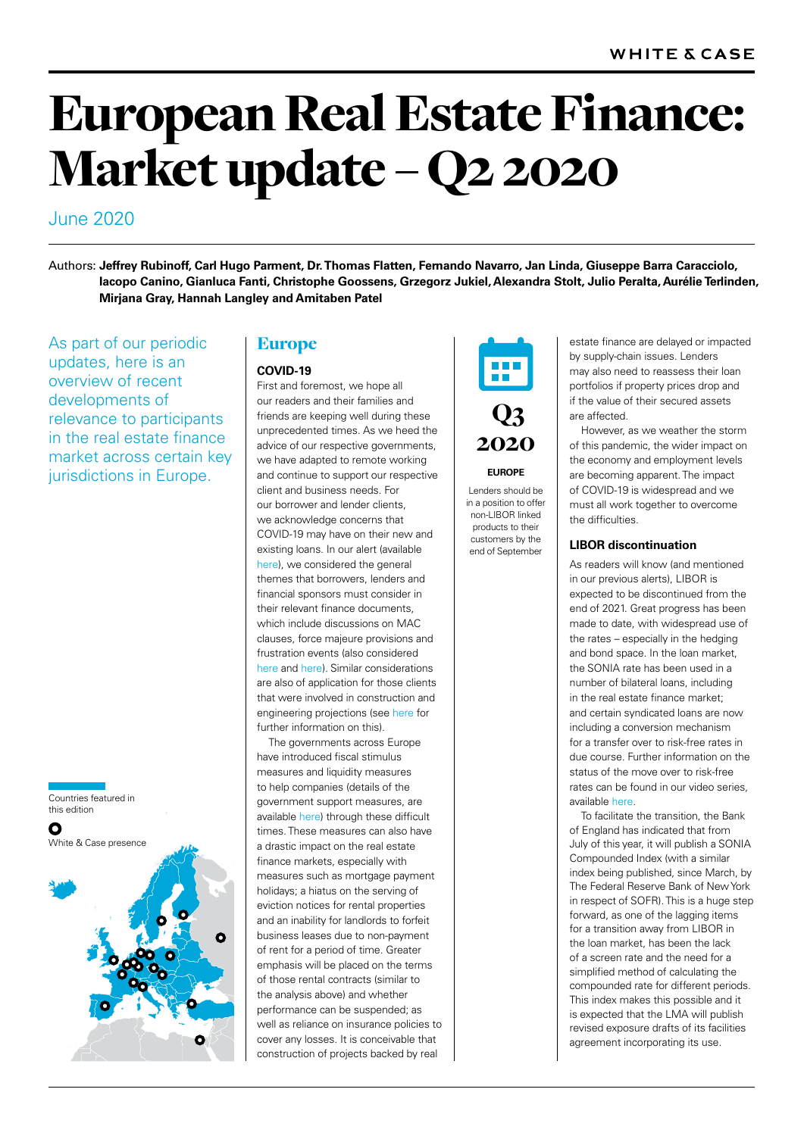# European Real Estate Finance: Market update – Q2 2020

## June 2020

Authors: **[Jeffrey Rubinoff,](https://www.whitecase.com/people/jeffrey-rubinoff) [Carl Hugo Parment,](https://www.whitecase.com/people/carl-hugo-parment) [Dr. Thomas Flatten,](https://www.whitecase.com/people/thomas-flatten) [Fernando Navarro](https://www.whitecase.com/people/fernando-navarro), [Jan Linda,](https://www.whitecase.com/people/jan-linda) [Giuseppe Barra Caracciolo,](https://www.whitecase.com/people/giuseppe-barra-caracciolo) [Iacopo Canino](https://www.whitecase.com/people/iacopo-canino), [Gianluca Fanti,](https://www.whitecase.com/people/gianluca-fanti) [Christophe Goossens,](https://www.whitecase.com/people/christophe-goossens) [Grzegorz Jukiel](https://www.whitecase.com/people/grzegorz-jukiel), [Alexandra Stolt,](https://www.whitecase.com/people/alexandra-stolt) [Julio Peralta](https://www.whitecase.com/people/julio-peralta), [Aurélie Terlinden,](https://www.whitecase.com/people/aurelie-terlinden)  [Mirjana Gray,](https://www.whitecase.com/people/mirjana-gray) Hannah Langley and [Amitaben Patel](https://www.whitecase.com/people/amitaben-patel)** 

As part of our periodic updates, here is an overview of recent developments of relevance to participants in the real estate finance market across certain key jurisdictions in Europe.

Countries featured in this edition





## Europe

## **COVID-19**

First and foremost, we hope all our readers and their families and friends are keeping well during these unprecedented times. As we heed the advice of our respective governments, we have adapted to remote working and continue to support our respective client and business needs. For our borrower and lender clients, we acknowledge concerns that COVID-19 may have on their new and existing loans. In our alert (available [here](https://debtexplorer.whitecase.com/leveraged-finance-commentary/coronavirus-the-impact-on-leveraged-finance)), we considered the general themes that borrowers, lenders and financial sponsors must consider in their relevant finance documents, which include discussions on MAC clauses, force majeure provisions and frustration events (also considered [here](https://www.whitecase.com/publications/alert/suspending-contractual-performance-response-coronavirus-outbreak) and [here\)](https://www.whitecase.com/publications/alert/coronavirus-legal-considerations-global-health-emergency-french-law-focus). Similar considerations are also of application for those clients that were involved in construction and engineering projections (see [here](https://www.whitecase.com/publications/alert/covid-19-current-impact-construction-engineering-projects) for further information on this).

The governments across Europe have introduced fiscal stimulus measures and liquidity measures to help companies (details of the government support measures, are available [here](https://www.whitecase.com/publications/alert/covid-19-global-government-financial-assistance-measures)) through these difficult times. These measures can also have a drastic impact on the real estate finance markets, especially with measures such as mortgage payment holidays; a hiatus on the serving of eviction notices for rental properties and an inability for landlords to forfeit business leases due to non-payment of rent for a period of time. Greater emphasis will be placed on the terms of those rental contracts (similar to the analysis above) and whether performance can be suspended; as well as reliance on insurance policies to cover any losses. It is conceivable that construction of projects backed by real



**EUROPE**

Lenders should be in a position to offer non-LIBOR linked products to their customers by the end of September

estate finance are delayed or impacted by supply-chain issues. Lenders may also need to reassess their loan portfolios if property prices drop and if the value of their secured assets are affected.

However, as we weather the storm of this pandemic, the wider impact on the economy and employment levels are becoming apparent. The impact of COVID-19 is widespread and we must all work together to overcome the difficulties.

## **LIBOR discontinuation**

As readers will know (and mentioned in our previous alerts), LIBOR is expected to be discontinued from the end of 2021. Great progress has been made to date, with widespread use of the rates – especially in the hedging and bond space. In the loan market, the SONIA rate has been used in a number of bilateral loans, including in the real estate finance market; and certain syndicated loans are now including a conversion mechanism for a transfer over to risk-free rates in due course. Further information on the status of the move over to risk-free rates can be found in our video series, available [here.](https://www.whitecase.com/publications/insight/libor-discontinuation-2020)

To facilitate the transition, the Bank of England has indicated that from July of this year, it will publish a SONIA Compounded Index (with a similar index being published, since March, by The Federal Reserve Bank of New York in respect of SOFR). This is a huge step forward, as one of the lagging items for a transition away from LIBOR in the loan market, has been the lack of a screen rate and the need for a simplified method of calculating the compounded rate for different periods. This index makes this possible and it is expected that the LMA will publish revised exposure drafts of its facilities agreement incorporating its use.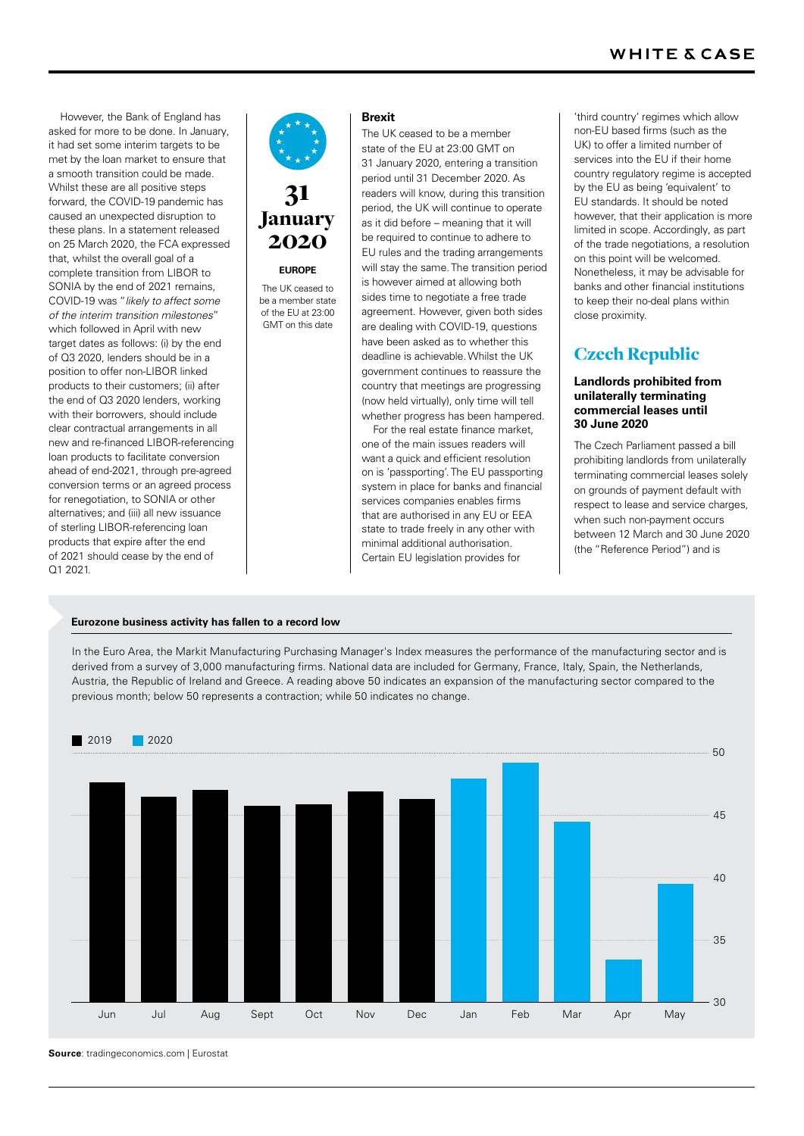However, the Bank of England has asked for more to be done. In January, it had set some interim targets to be met by the loan market to ensure that a smooth transition could be made. Whilst these are all positive steps forward, the COVID-19 pandemic has caused an unexpected disruption to these plans. In a statement released on 25 March 2020, the FCA expressed that, whilst the overall goal of a complete transition from LIBOR to SONIA by the end of 2021 remains, COVID-19 was "*likely to affect some of the interim transition milestones*" which followed in April with new target dates as follows: (i) by the end of Q3 2020, lenders should be in a position to offer non-LIBOR linked products to their customers; (ii) after the end of Q3 2020 lenders, working with their borrowers, should include clear contractual arrangements in all new and re-financed LIBOR-referencing loan products to facilitate conversion ahead of end-2021, through pre-agreed conversion terms or an agreed process for renegotiation, to SONIA or other alternatives; and (iii) all new issuance of sterling LIBOR-referencing loan products that expire after the end of 2021 should cease by the end of Q1 2021.



## **EUROPE**

The UK ceased to be a member state of the EU at 23:00 GMT on this date

#### **Brexit**

The UK ceased to be a member state of the EU at 23:00 GMT on 31 January 2020, entering a transition period until 31 December 2020. As readers will know, during this transition period, the UK will continue to operate as it did before – meaning that it will be required to continue to adhere to EU rules and the trading arrangements will stay the same. The transition period is however aimed at allowing both sides time to negotiate a free trade agreement. However, given both sides are dealing with COVID-19, questions have been asked as to whether this deadline is achievable. Whilst the UK government continues to reassure the country that meetings are progressing (now held virtually), only time will tell whether progress has been hampered.

For the real estate finance market, one of the main issues readers will want a quick and efficient resolution on is 'passporting'. The EU passporting system in place for banks and financial services companies enables firms that are authorised in any EU or EEA state to trade freely in any other with minimal additional authorisation. Certain EU legislation provides for

'third country' regimes which allow non-EU based firms (such as the UK) to offer a limited number of services into the EU if their home country regulatory regime is accepted by the EU as being 'equivalent' to EU standards. It should be noted however, that their application is more limited in scope. Accordingly, as part of the trade negotiations, a resolution on this point will be welcomed. Nonetheless, it may be advisable for banks and other financial institutions to keep their no-deal plans within close proximity.

## Czech Republic

## **Landlords prohibited from unilaterally terminating commercial leases until 30 June 2020**

The Czech Parliament passed a bill prohibiting landlords from unilaterally terminating commercial leases solely on grounds of payment default with respect to lease and service charges, when such non-payment occurs between 12 March and 30 June 2020 (the "Reference Period") and is

#### **Eurozone business activity has fallen to a record low**

In the Euro Area, the Markit Manufacturing Purchasing Manager's Index measures the performance of the manufacturing sector and is derived from a survey of 3,000 manufacturing firms. National data are included for Germany, France, Italy, Spain, the Netherlands, Austria, the Republic of Ireland and Greece. A reading above 50 indicates an expansion of the manufacturing sector compared to the previous month; below 50 represents a contraction; while 50 indicates no change.



**Source**: tradingeconomics.com | Eurostat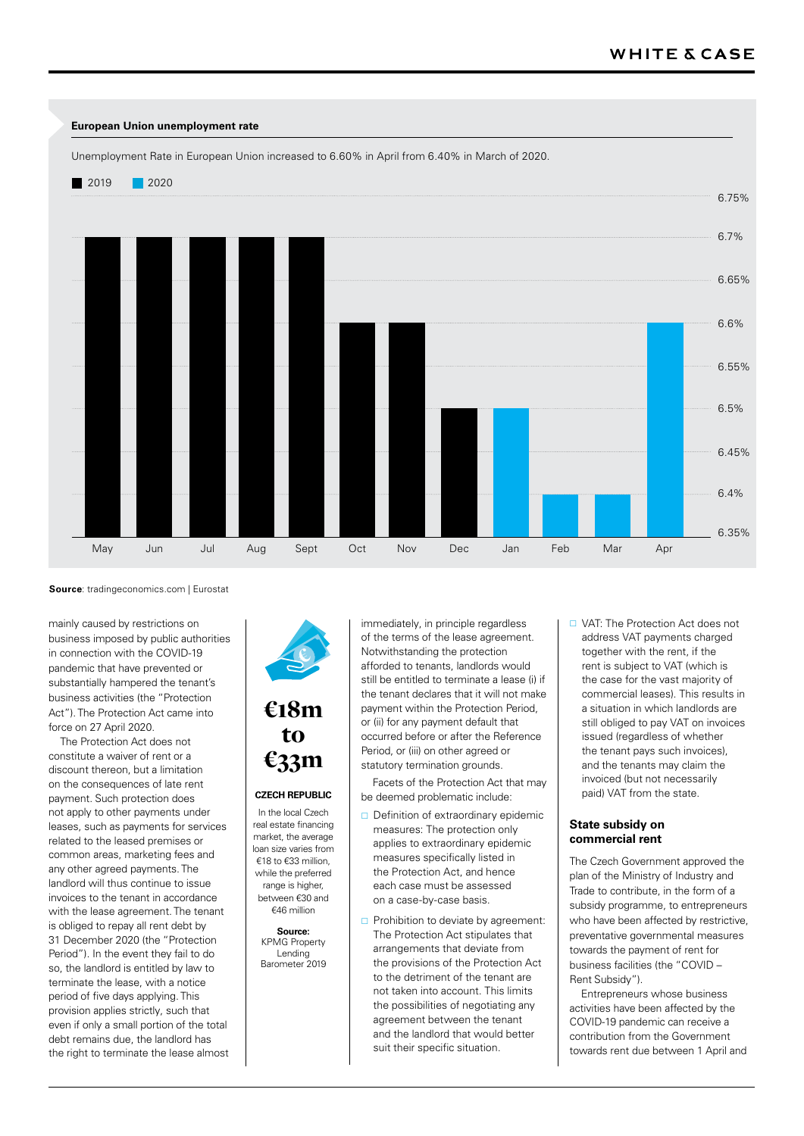

**Source**: tradingeconomics.com | Eurostat

mainly caused by restrictions on business imposed by public authorities in connection with the COVID-19 pandemic that have prevented or substantially hampered the tenant's business activities (the "Protection Act"). The Protection Act came into force on 27 April 2020.

The Protection Act does not constitute a waiver of rent or a discount thereon, but a limitation on the consequences of late rent payment. Such protection does not apply to other payments under leases, such as payments for services related to the leased premises or common areas, marketing fees and any other agreed payments. The landlord will thus continue to issue invoices to the tenant in accordance with the lease agreement. The tenant is obliged to repay all rent debt by 31 December 2020 (the "Protection Period"). In the event they fail to do so, the landlord is entitled by law to terminate the lease, with a notice period of five days applying. This provision applies strictly, such that even if only a small portion of the total debt remains due, the landlord has the right to terminate the lease almost



## €18m to €33m

## **CZECH REPUBLIC**

In the local Czech real estate financing market, the average loan size varies from €18 to €33 million, while the preferred range is higher, between €30 and €46 million

> **Source:** KPMG Property Lending Barometer 2019

immediately, in principle regardless of the terms of the lease agreement. Notwithstanding the protection afforded to tenants, landlords would still be entitled to terminate a lease (i) if the tenant declares that it will not make payment within the Protection Period, or (ii) for any payment default that occurred before or after the Reference Period, or (iii) on other agreed or statutory termination grounds.

Facets of the Protection Act that may be deemed problematic include:

- $\Box$  Definition of extraordinary epidemic measures: The protection only applies to extraordinary epidemic measures specifically listed in the Protection Act, and hence each case must be assessed on a case-by-case basis.
- $\Box$  Prohibition to deviate by agreement: The Protection Act stipulates that arrangements that deviate from the provisions of the Protection Act to the detriment of the tenant are not taken into account. This limits the possibilities of negotiating any agreement between the tenant and the landlord that would better suit their specific situation.

□ VAT: The Protection Act does not address VAT payments charged together with the rent, if the rent is subject to VAT (which is the case for the vast majority of commercial leases). This results in a situation in which landlords are still obliged to pay VAT on invoices issued (regardless of whether the tenant pays such invoices), and the tenants may claim the invoiced (but not necessarily paid) VAT from the state.

## **State subsidy on commercial rent**

The Czech Government approved the plan of the Ministry of Industry and Trade to contribute, in the form of a subsidy programme, to entrepreneurs who have been affected by restrictive, preventative governmental measures towards the payment of rent for business facilities (the "COVID – Rent Subsidy").

Entrepreneurs whose business activities have been affected by the COVID-19 pandemic can receive a contribution from the Government towards rent due between 1 April and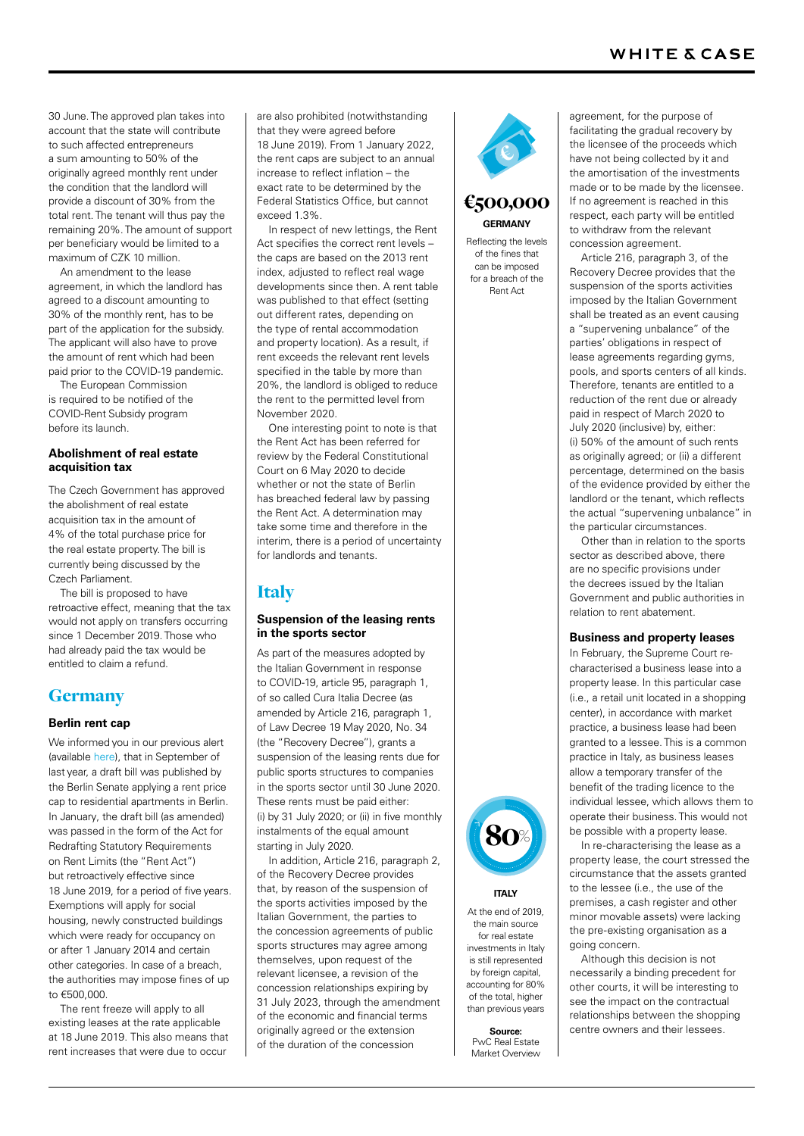30 June. The approved plan takes into account that the state will contribute to such affected entrepreneurs a sum amounting to 50% of the originally agreed monthly rent under the condition that the landlord will provide a discount of 30% from the total rent. The tenant will thus pay the remaining 20%. The amount of support per beneficiary would be limited to a maximum of CZK 10 million.

An amendment to the lease agreement, in which the landlord has agreed to a discount amounting to 30% of the monthly rent, has to be part of the application for the subsidy. The applicant will also have to prove the amount of rent which had been paid prior to the COVID-19 pandemic.

The European Commission is required to be notified of the COVID-Rent Subsidy program before its launch.

## **Abolishment of real estate acquisition tax**

The Czech Government has approved the abolishment of real estate acquisition tax in the amount of 4% of the total purchase price for the real estate property. The bill is currently being discussed by the Czech Parliament.

The bill is proposed to have retroactive effect, meaning that the tax would not apply on transfers occurring since 1 December 2019.Those who had already paid the tax would be entitled to claim a refund.

## **Germany**

## **Berlin rent cap**

We informed you in our previous alert (available [here](https://www.whitecase.com/publications/alert/european-real-estate-finance-recent-developments-december-2019)), that in September of last year, a draft bill was published by the Berlin Senate applying a rent price cap to residential apartments in Berlin. In January, the draft bill (as amended) was passed in the form of the Act for Redrafting Statutory Requirements on Rent Limits (the "Rent Act") but retroactively effective since 18 June 2019, for a period of five years. Exemptions will apply for social housing, newly constructed buildings which were ready for occupancy on or after 1 January 2014 and certain other categories. In case of a breach, the authorities may impose fines of up to €500,000.

The rent freeze will apply to all existing leases at the rate applicable at 18 June 2019. This also means that rent increases that were due to occur

are also prohibited (notwithstanding that they were agreed before 18 June 2019). From 1 January 2022, the rent caps are subject to an annual increase to reflect inflation – the exact rate to be determined by the Federal Statistics Office, but cannot exceed 1.3%.

In respect of new lettings, the Rent Act specifies the correct rent levels – the caps are based on the 2013 rent index, adjusted to reflect real wage developments since then. A rent table was published to that effect (setting out different rates, depending on the type of rental accommodation and property location). As a result, if rent exceeds the relevant rent levels specified in the table by more than 20%, the landlord is obliged to reduce the rent to the permitted level from November 2020.

One interesting point to note is that the Rent Act has been referred for review by the Federal Constitutional Court on 6 May 2020 to decide whether or not the state of Berlin has breached federal law by passing the Rent Act. A determination may take some time and therefore in the interim, there is a period of uncertainty for landlords and tenants.

## Italy

## **Suspension of the leasing rents in the sports sector**

As part of the measures adopted by the Italian Government in response to COVID-19, article 95, paragraph 1, of so called Cura Italia Decree (as amended by Article 216, paragraph 1, of Law Decree 19 May 2020, No. 34 (the "Recovery Decree"), grants a suspension of the leasing rents due for public sports structures to companies in the sports sector until 30 June 2020. These rents must be paid either: (i) by 31 July 2020; or (ii) in five monthly instalments of the equal amount starting in July 2020.

In addition, Article 216, paragraph 2, of the Recovery Decree provides that, by reason of the suspension of the sports activities imposed by the Italian Government, the parties to the concession agreements of public sports structures may agree among themselves, upon request of the relevant licensee, a revision of the concession relationships expiring by 31 July 2023, through the amendment of the economic and financial terms originally agreed or the extension of the duration of the concession



## **GERMANY** €500,000

Reflecting the levels of the fines that can be imposed for a breach of the Rent Act

agreement, for the purpose of facilitating the gradual recovery by the licensee of the proceeds which have not being collected by it and the amortisation of the investments made or to be made by the licensee. If no agreement is reached in this respect, each party will be entitled to withdraw from the relevant concession agreement.

Article 216, paragraph 3, of the Recovery Decree provides that the suspension of the sports activities imposed by the Italian Government shall be treated as an event causing a "supervening unbalance" of the parties' obligations in respect of lease agreements regarding gyms, pools, and sports centers of all kinds. Therefore, tenants are entitled to a reduction of the rent due or already paid in respect of March 2020 to July 2020 (inclusive) by, either: (i) 50% of the amount of such rents as originally agreed; or (ii) a different percentage, determined on the basis of the evidence provided by either the landlord or the tenant, which reflects the actual "supervening unbalance" in the particular circumstances.

Other than in relation to the sports sector as described above, there are no specific provisions under the decrees issued by the Italian Government and public authorities in relation to rent abatement.

## **Business and property leases**

In February, the Supreme Court recharacterised a business lease into a property lease. In this particular case (i.e., a retail unit located in a shopping center), in accordance with market practice, a business lease had been granted to a lessee. This is a common practice in Italy, as business leases allow a temporary transfer of the benefit of the trading licence to the individual lessee, which allows them to operate their business. This would not be possible with a property lease.

In re-characterising the lease as a property lease, the court stressed the circumstance that the assets granted to the lessee (i.e., the use of the premises, a cash register and other minor movable assets) were lacking the pre-existing organisation as a going concern.

Although this decision is not necessarily a binding precedent for other courts, it will be interesting to see the impact on the contractual relationships between the shopping centre owners and their lessees.



## **ITALY**

At the end of 2019, the main source for real estate investments in Italy is still represented by foreign capital, accounting for 80% of the total, higher than previous years

**Source:** PwC Real Estate Market Overview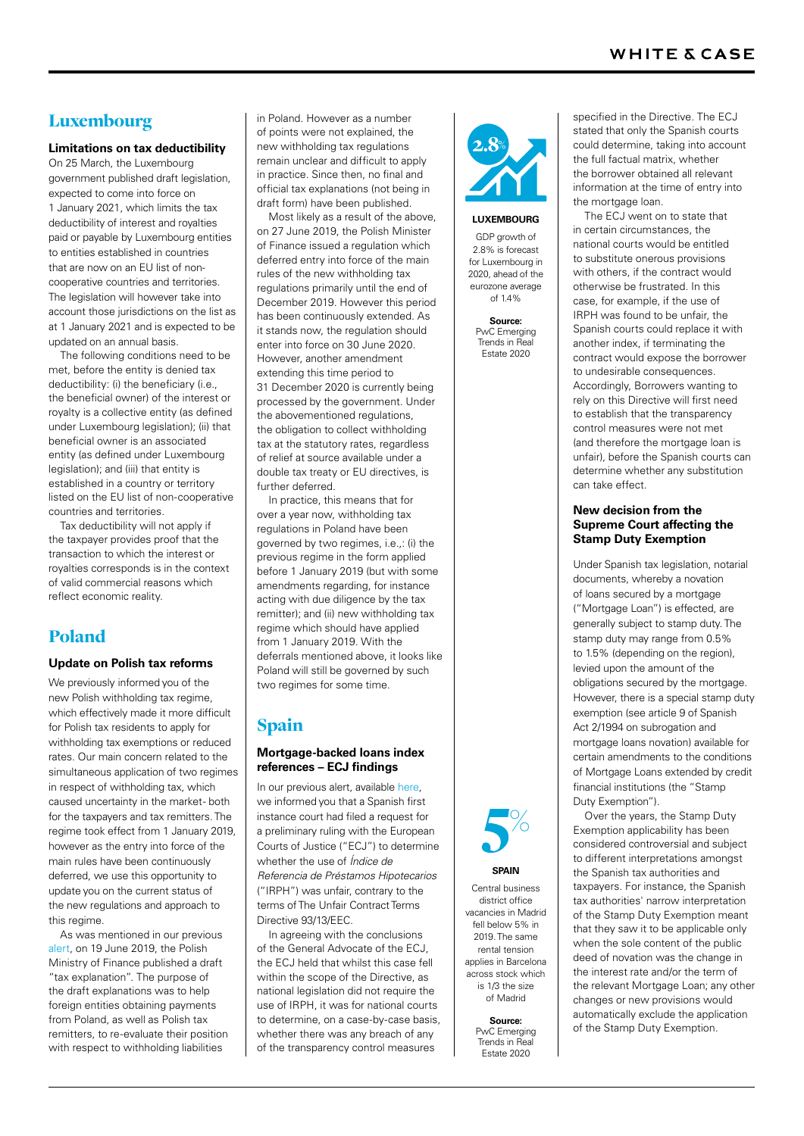## Luxembourg

#### **Limitations on tax deductibility**

On 25 March, the Luxembourg government published draft legislation, expected to come into force on 1 January 2021, which limits the tax deductibility of interest and royalties paid or payable by Luxembourg entities to entities established in countries that are now on an EU list of noncooperative countries and territories. The legislation will however take into account those jurisdictions on the list as at 1 January 2021 and is expected to be updated on an annual basis.

The following conditions need to be met, before the entity is denied tax deductibility: (i) the beneficiary (i.e. the beneficial owner) of the interest or royalty is a collective entity (as defined under Luxembourg legislation); (ii) that beneficial owner is an associated entity (as defined under Luxembourg legislation); and (iii) that entity is established in a country or territory listed on the EU list of non-cooperative countries and territories.

Tax deductibility will not apply if the taxpayer provides proof that the transaction to which the interest or royalties corresponds is in the context of valid commercial reasons which reflect economic reality.

## Poland

## **Update on Polish tax reforms**

We previously informed you of the new Polish withholding tax regime, which effectively made it more difficult for Polish tax residents to apply for withholding tax exemptions or reduced rates. Our main concern related to the simultaneous application of two regimes in respect of withholding tax, which caused uncertainty in the market- both for the taxpayers and tax remitters. The regime took effect from 1 January 2019, however as the entry into force of the main rules have been continuously deferred, we use this opportunity to update you on the current status of the new regulations and approach to this regime.

As was mentioned in our previous [alert,](https://www.whitecase.com/publications/alert/european-real-estate-finance-recent-developments-june-2019) on 19 June 2019, the Polish Ministry of Finance published a draft "tax explanation". The purpose of the draft explanations was to help foreign entities obtaining payments from Poland, as well as Polish tax remitters, to re-evaluate their position with respect to withholding liabilities

in Poland. However as a number of points were not explained, the new withholding tax regulations remain unclear and difficult to apply in practice. Since then, no final and official tax explanations (not being in draft form) have been published.

Most likely as a result of the above, on 27 June 2019, the Polish Minister of Finance issued a regulation which deferred entry into force of the main rules of the new withholding tax regulations primarily until the end of December 2019. However this period has been continuously extended. As it stands now, the regulation should enter into force on 30 June 2020. However, another amendment extending this time period to 31 December 2020 is currently being processed by the government. Under the abovementioned regulations, the obligation to collect withholding tax at the statutory rates, regardless of relief at source available under a double tax treaty or EU directives, is further deferred.

In practice, this means that for over a year now, withholding tax regulations in Poland have been governed by two regimes, i.e.,: (i) the previous regime in the form applied before 1 January 2019 (but with some amendments regarding, for instance acting with due diligence by the tax remitter); and (ii) new withholding tax regime which should have applied from 1 January 2019. With the deferrals mentioned above, it looks like Poland will still be governed by such two regimes for some time.

## Spain

## **Mortgage-backed loans index references – ECJ findings**

In our previous alert, available [here](https://www.whitecase.com/publications/alert/european-real-estate-finance-recent-developments-december-2019), we informed you that a Spanish first instance court had filed a request for a preliminary ruling with the European Courts of Justice ("ECJ") to determine whether the use of *Índice de Referencia de Préstamos Hipotecarios* ("IRPH") was unfair, contrary to the terms of The Unfair Contract Terms Directive 93/13/EEC.

In agreeing with the conclusions of the General Advocate of the ECJ, the ECJ held that whilst this case fell within the scope of the Directive, as national legislation did not require the use of IRPH, it was for national courts to determine, on a case-by-case basis, whether there was any breach of any of the transparency control measures



#### **LUXEMBOURG**

GDP growth of 2.8% is forecast for Luxembourg in 2020, ahead of the eurozone average of 1.4%

**Source:** PwC Emerging Trends in Real Estate 2020

specified in the Directive. The ECJ stated that only the Spanish courts could determine, taking into account the full factual matrix, whether the borrower obtained all relevant information at the time of entry into the mortgage loan.

The ECJ went on to state that in certain circumstances, the national courts would be entitled to substitute onerous provisions with others, if the contract would otherwise be frustrated. In this case, for example, if the use of IRPH was found to be unfair, the Spanish courts could replace it with another index, if terminating the contract would expose the borrower to undesirable consequences. Accordingly, Borrowers wanting to rely on this Directive will first need to establish that the transparency control measures were not met (and therefore the mortgage loan is unfair), before the Spanish courts can determine whether any substitution can take effect.

#### **New decision from the Supreme Court affecting the Stamp Duty Exemption**

Under Spanish tax legislation, notarial documents, whereby a novation of loans secured by a mortgage ("Mortgage Loan") is effected, are generally subject to stamp duty. The stamp duty may range from 0.5% to 1.5% (depending on the region), levied upon the amount of the obligations secured by the mortgage. However, there is a special stamp duty exemption (see article 9 of Spanish Act 2/1994 on subrogation and mortgage loans novation) available for certain amendments to the conditions of Mortgage Loans extended by credit financial institutions (the "Stamp Duty Exemption").

Over the years, the Stamp Duty Exemption applicability has been considered controversial and subject to different interpretations amongst the Spanish tax authorities and taxpayers. For instance, the Spanish tax authorities' narrow interpretation of the Stamp Duty Exemption meant that they saw it to be applicable only when the sole content of the public deed of novation was the change in the interest rate and/or the term of the relevant Mortgage Loan; any other changes or new provisions would automatically exclude the application of the Stamp Duty Exemption.



#### **SPAIN**

Central business district office vacancies in Madrid fell below 5% in 2019. The same rental tension applies in Barcelona across stock which is 1/3 the size of Madrid

> **Source:** PwC Emerging Trends in Real Estate 2020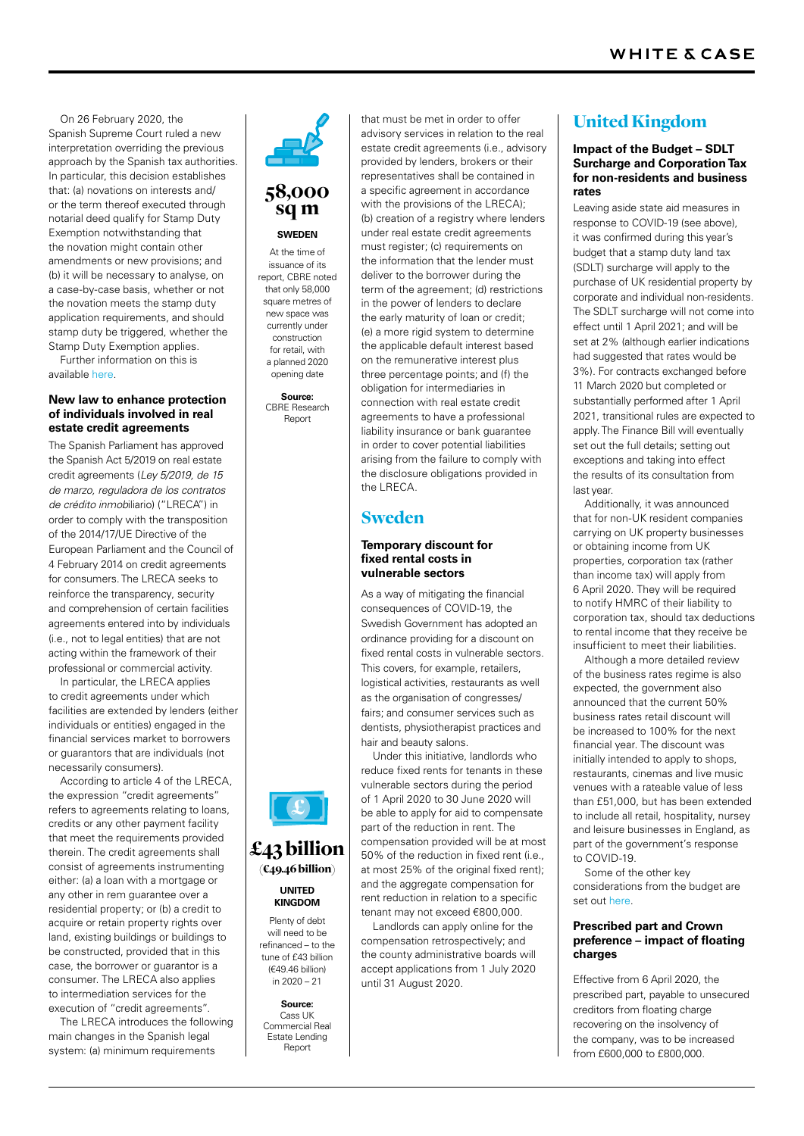On 26 February 2020, the Spanish Supreme Court ruled a new interpretation overriding the previous approach by the Spanish tax authorities. In particular, this decision establishes that: (a) novations on interests and/ or the term thereof executed through notarial deed qualify for Stamp Duty Exemption notwithstanding that the novation might contain other amendments or new provisions; and (b) it will be necessary to analyse, on a case-by-case basis, whether or not the novation meets the stamp duty application requirements, and should stamp duty be triggered, whether the Stamp Duty Exemption applies.

Further information on this is available [here.](https://www.whitecase.com/publications/alert/spanish-supreme-court-confirms-stamp-duty-exemption-novation-mortgage-loans)

#### **New law to enhance protection of individuals involved in real estate credit agreements**

The Spanish Parliament has approved the Spanish Act 5/2019 on real estate credit agreements (*Ley 5/2019, de 15 de marzo, reguladora de los contratos de crédito inmob*iliario) ("LRECA") in order to comply with the transposition of the 2014/17/UE Directive of the European Parliament and the Council of 4 February 2014 on credit agreements for consumers. The LRECA seeks to reinforce the transparency, security and comprehension of certain facilities agreements entered into by individuals (i.e., not to legal entities) that are not acting within the framework of their professional or commercial activity.

In particular, the LRECA applies to credit agreements under which facilities are extended by lenders (either individuals or entities) engaged in the financial services market to borrowers or guarantors that are individuals (not necessarily consumers).

According to article 4 of the LRECA, the expression "credit agreements" refers to agreements relating to loans, credits or any other payment facility that meet the requirements provided therein. The credit agreements shall consist of agreements instrumenting either: (a) a loan with a mortgage or any other in rem guarantee over a residential property; or (b) a credit to acquire or retain property rights over land, existing buildings or buildings to be constructed, provided that in this case, the borrower or guarantor is a consumer. The LRECA also applies to intermediation services for the execution of "credit agreements".

The LRECA introduces the following main changes in the Spanish legal system: (a) minimum requirements

# 58,000

## **SWEDEN** sq m

At the time of issuance of its report, CBRE noted that only 58,000 square metres of new space was currently under construction for retail, with a planned 2020 opening date

**Source:** CBRE Research Report

advisory services in relation to the real estate credit agreements (i.e., advisory provided by lenders, brokers or their representatives shall be contained in a specific agreement in accordance with the provisions of the LRECA); (b) creation of a registry where lenders under real estate credit agreements must register; (c) requirements on the information that the lender must deliver to the borrower during the term of the agreement; (d) restrictions in the power of lenders to declare the early maturity of loan or credit; (e) a more rigid system to determine the applicable default interest based on the remunerative interest plus three percentage points; and (f) the obligation for intermediaries in connection with real estate credit agreements to have a professional liability insurance or bank guarantee in order to cover potential liabilities arising from the failure to comply with the disclosure obligations provided in the LRECA.

that must be met in order to offer

## Sweden

## **Temporary discount for fixed rental costs in vulnerable sectors**

As a way of mitigating the financial consequences of COVID-19, the Swedish Government has adopted an ordinance providing for a discount on fixed rental costs in vulnerable sectors. This covers, for example, retailers, logistical activities, restaurants as well as the organisation of congresses/ fairs; and consumer services such as dentists, physiotherapist practices and hair and beauty salons.

Under this initiative, landlords who reduce fixed rents for tenants in these vulnerable sectors during the period of 1 April 2020 to 30 June 2020 will be able to apply for aid to compensate part of the reduction in rent. The compensation provided will be at most 50% of the reduction in fixed rent (i.e., at most 25% of the original fixed rent); and the aggregate compensation for rent reduction in relation to a specific tenant may not exceed €800,000.

Landlords can apply online for the compensation retrospectively; and the county administrative boards will accept applications from 1 July 2020 until 31 August 2020.

## United Kingdom

## **Impact of the Budget – SDLT Surcharge and Corporation Tax for non-residents and business rates**

Leaving aside state aid measures in response to COVID-19 (see above), it was confirmed during this year's budget that a stamp duty land tax (SDLT) surcharge will apply to the purchase of UK residential property by corporate and individual non-residents. The SDLT surcharge will not come into effect until 1 April 2021; and will be set at 2% (although earlier indications had suggested that rates would be 3%). For contracts exchanged before 11 March 2020 but completed or substantially performed after 1 April 2021, transitional rules are expected to apply. The Finance Bill will eventually set out the full details; setting out exceptions and taking into effect the results of its consultation from last year.

Additionally, it was announced that for non-UK resident companies carrying on UK property businesses or obtaining income from UK properties, corporation tax (rather than income tax) will apply from 6 April 2020. They will be required to notify HMRC of their liability to corporation tax, should tax deductions to rental income that they receive be insufficient to meet their liabilities.

Although a more detailed review of the business rates regime is also expected, the government also announced that the current 50% business rates retail discount will be increased to 100% for the next financial year. The discount was initially intended to apply to shops, restaurants, cinemas and live music venues with a rateable value of less than £51,000, but has been extended to include all retail, hospitality, nursey and leisure businesses in England, as part of the government's response to COVID-19.

Some of the other key considerations from the budget are set out [here.](https://www.whitecase.com/publications/alert/uk-budget-2020-5-key-measures)

## **Prescribed part and Crown preference – impact of floating charges**

Effective from 6 April 2020, the prescribed part, payable to unsecured creditors from floating charge recovering on the insolvency of the company, was to be increased from £600,000 to £800,000.



## £43 billion  $($ **€49.46 billion**)

**UNITED KINGDOM** Plenty of debt will need to be

refinanced – to the tune of £43 billion (€49.46 billion) in 2020 – 21

**Source:** Cass UK Commercial Real Estate Lending Report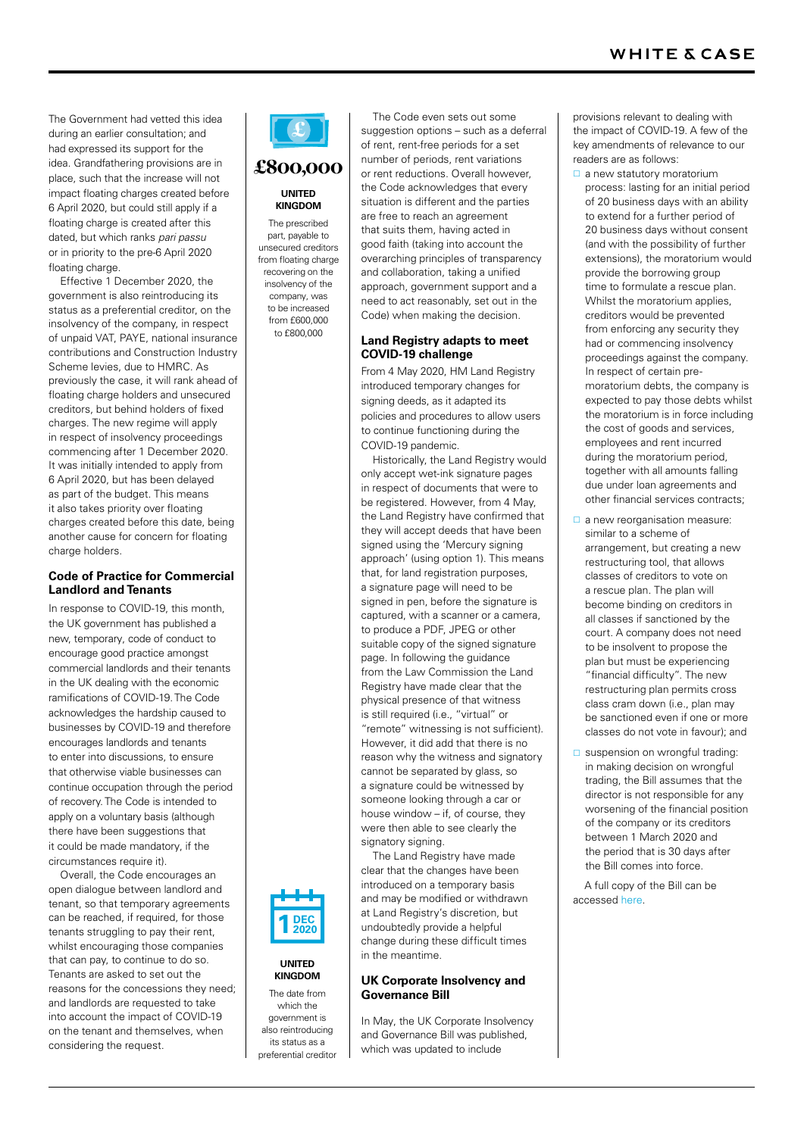The Government had vetted this idea during an earlier consultation; and had expressed its support for the idea. Grandfathering provisions are in place, such that the increase will not impact floating charges created before 6 April 2020, but could still apply if a floating charge is created after this dated, but which ranks *pari passu* or in priority to the pre-6 April 2020 floating charge.

Effective 1 December 2020, the government is also reintroducing its status as a preferential creditor, on the insolvency of the company, in respect of unpaid VAT, PAYE, national insurance contributions and Construction Industry Scheme levies, due to HMRC. As previously the case, it will rank ahead of floating charge holders and unsecured creditors, but behind holders of fixed charges. The new regime will apply in respect of insolvency proceedings commencing after 1 December 2020. It was initially intended to apply from 6 April 2020, but has been delayed as part of the budget. This means it also takes priority over floating charges created before this date, being another cause for concern for floating charge holders.

## **Code of Practice for Commercial Landlord and Tenants**

In response to COVID-19, this month, the UK government has published a new, temporary, code of conduct to encourage good practice amongst commercial landlords and their tenants in the UK dealing with the economic ramifications of COVID-19. The Code acknowledges the hardship caused to businesses by COVID-19 and therefore encourages landlords and tenants to enter into discussions, to ensure that otherwise viable businesses can continue occupation through the period of recovery. The Code is intended to apply on a voluntary basis (although there have been suggestions that it could be made mandatory, if the circumstances require it).

Overall, the Code encourages an open dialogue between landlord and tenant, so that temporary agreements can be reached, if required, for those tenants struggling to pay their rent, whilst encouraging those companies that can pay, to continue to do so. Tenants are asked to set out the reasons for the concessions they need; and landlords are requested to take into account the impact of COVID-19 on the tenant and themselves, when considering the request.

## £

## **UNITED KINGDOM** £800,000

The prescribed part, payable to unsecured creditors from floating charge recovering on the insolvency of the company, was to be increased from £600,000 to £800,000

suggestion options – such as a deferral of rent, rent-free periods for a set number of periods, rent variations or rent reductions. Overall however, the Code acknowledges that every situation is different and the parties are free to reach an agreement that suits them, having acted in good faith (taking into account the overarching principles of transparency and collaboration, taking a unified approach, government support and a need to act reasonably, set out in the Code) when making the decision.

The Code even sets out some

## **Land Registry adapts to meet COVID-19 challenge**

From 4 May 2020, HM Land Registry introduced temporary changes for signing deeds, as it adapted its policies and procedures to allow users to continue functioning during the COVID-19 pandemic.

Historically, the Land Registry would only accept wet-ink signature pages in respect of documents that were to be registered. However, from 4 May, the Land Registry have confirmed that they will accept deeds that have been signed using the 'Mercury signing approach' (using option 1). This means that, for land registration purposes a signature page will need to be signed in pen, before the signature is captured, with a scanner or a camera, to produce a PDF, JPEG or other suitable copy of the signed signature page. In following the guidance from the Law Commission the Land Registry have made clear that the physical presence of that witness is still required (i.e., "virtual" or "remote" witnessing is not sufficient). However, it did add that there is no reason why the witness and signatory cannot be separated by glass, so a signature could be witnessed by someone looking through a car or house window – if, of course, they were then able to see clearly the signatory signing.

The Land Registry have made clear that the changes have been introduced on a temporary basis and may be modified or withdrawn at Land Registry's discretion, but undoubtedly provide a helpful change during these difficult times in the meantime.

## **UK Corporate Insolvency and Governance Bill**

In May, the UK Corporate Insolvency and Governance Bill was published, which was updated to include

provisions relevant to dealing with the impact of COVID-19. A few of the key amendments of relevance to our readers are as follows:

- $\Box$  a new statutory moratorium process: lasting for an initial period of 20 business days with an ability to extend for a further period of 20 business days without consent (and with the possibility of further extensions), the moratorium would provide the borrowing group time to formulate a rescue plan. Whilst the moratorium applies creditors would be prevented from enforcing any security they had or commencing insolvency proceedings against the company. In respect of certain premoratorium debts, the company is expected to pay those debts whilst the moratorium is in force including the cost of goods and services, employees and rent incurred during the moratorium period, together with all amounts falling due under loan agreements and other financial services contracts;
- $\Box$  a new reorganisation measure: similar to a scheme of arrangement, but creating a new restructuring tool, that allows classes of creditors to vote on a rescue plan. The plan will become binding on creditors in all classes if sanctioned by the court. A company does not need to be insolvent to propose the plan but must be experiencing "financial difficulty". The new restructuring plan permits cross class cram down (i.e., plan may be sanctioned even if one or more classes do not vote in favour); and
- $\square$  suspension on wrongful trading: in making decision on wrongful trading, the Bill assumes that the director is not responsible for any worsening of the financial position of the company or its creditors between 1 March 2020 and the period that is 30 days after the Bill comes into force.

A full copy of the Bill can be accessed [here.](https://publications.parliament.uk/pa/bills/cbill/58-01/0128/20128.pdf)







which the government is also reintroducing its status as a preferential creditor



**KINGDOM** The date from